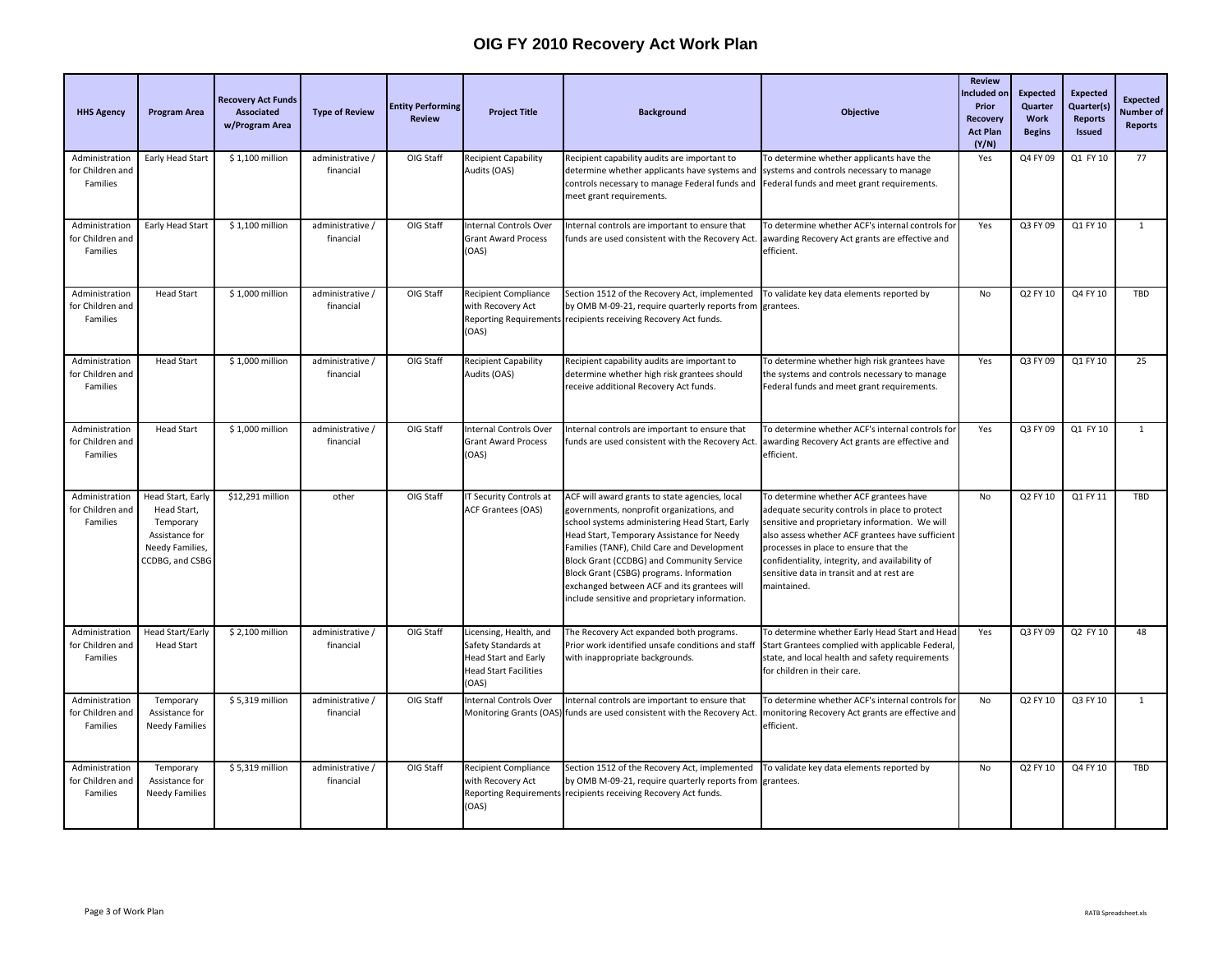| <b>HHS Agency</b>                              | <b>Program Area</b>                                                                                   | <b>Recovery Act Funds</b><br>Associated<br>w/Program Area | <b>Type of Review</b>         | <b>Entity Performing</b><br><b>Review</b> | <b>Project Title</b>                                                                                                  | <b>Background</b>                                                                                                                                                                                                                                                                                                                                                                                                                    | <b>Objective</b>                                                                                                                                                                                                                                                                                                                                       | <b>Review</b><br>ncluded on<br>Prior<br><b>Recovery</b><br><b>Act Plan</b><br>(Y/N) | <b>Expected</b><br>Quarter<br>Work<br><b>Begins</b> | <b>Expected</b><br>Quarter(s)<br><b>Reports</b><br><b>Issued</b> | <b>Expected</b><br><b>Number</b> of<br>Reports |
|------------------------------------------------|-------------------------------------------------------------------------------------------------------|-----------------------------------------------------------|-------------------------------|-------------------------------------------|-----------------------------------------------------------------------------------------------------------------------|--------------------------------------------------------------------------------------------------------------------------------------------------------------------------------------------------------------------------------------------------------------------------------------------------------------------------------------------------------------------------------------------------------------------------------------|--------------------------------------------------------------------------------------------------------------------------------------------------------------------------------------------------------------------------------------------------------------------------------------------------------------------------------------------------------|-------------------------------------------------------------------------------------|-----------------------------------------------------|------------------------------------------------------------------|------------------------------------------------|
| Administration<br>for Children and<br>Families | Early Head Start                                                                                      | \$1,100 million                                           | administrative /<br>financial | OIG Staff                                 | <b>Recipient Capability</b><br>Audits (OAS)                                                                           | Recipient capability audits are important to<br>determine whether applicants have systems and<br>controls necessary to manage Federal funds and<br>meet grant requirements.                                                                                                                                                                                                                                                          | To determine whether applicants have the<br>systems and controls necessary to manage<br>Federal funds and meet grant requirements.                                                                                                                                                                                                                     | Yes                                                                                 | Q4 FY 09                                            | Q1 FY 10                                                         | 77                                             |
| Administration<br>for Children and<br>Families | Early Head Start                                                                                      | \$1,100 million                                           | administrative /<br>financial | OIG Staff                                 | Internal Controls Over<br><b>Grant Award Process</b><br>(OAS)                                                         | Internal controls are important to ensure that<br>funds are used consistent with the Recovery Act.                                                                                                                                                                                                                                                                                                                                   | To determine whether ACF's internal controls for<br>awarding Recovery Act grants are effective and<br>efficient.                                                                                                                                                                                                                                       | Yes                                                                                 | Q3 FY 09                                            | Q1 FY 10                                                         | $\mathbf{1}$                                   |
| Administration<br>for Children and<br>Families | Head Start                                                                                            | \$1,000 million                                           | administrative /<br>financial | OIG Staff                                 | <b>Recipient Compliance</b><br>with Recovery Act<br>(OAS)                                                             | Section 1512 of the Recovery Act, implemented<br>by OMB M-09-21, require quarterly reports from<br>Reporting Requirements recipients receiving Recovery Act funds.                                                                                                                                                                                                                                                                   | To validate key data elements reported by<br>grantees.                                                                                                                                                                                                                                                                                                 | No                                                                                  | Q2 FY 10                                            | Q4 FY 10                                                         | <b>TBD</b>                                     |
| Administration<br>for Children and<br>Families | <b>Head Start</b>                                                                                     | \$1,000 million                                           | administrative /<br>financial | OIG Staff                                 | <b>Recipient Capability</b><br>Audits (OAS)                                                                           | Recipient capability audits are important to<br>determine whether high risk grantees should<br>receive additional Recovery Act funds.                                                                                                                                                                                                                                                                                                | To determine whether high risk grantees have<br>he systems and controls necessary to manage<br>Federal funds and meet grant requirements.                                                                                                                                                                                                              | Yes                                                                                 | Q3 FY 09                                            | Q1 FY 10                                                         | 25                                             |
| Administration<br>for Children and<br>Families | <b>Head Start</b>                                                                                     | \$1,000 million                                           | administrative /<br>financial | OIG Staff                                 | nternal Controls Over<br><b>Grant Award Process</b><br>(OAS)                                                          | Internal controls are important to ensure that<br>funds are used consistent with the Recovery Act                                                                                                                                                                                                                                                                                                                                    | To determine whether ACF's internal controls for<br>awarding Recovery Act grants are effective and<br>efficient.                                                                                                                                                                                                                                       | Yes                                                                                 | Q3 FY 09                                            | Q1 FY 10                                                         | $\mathbf{1}$                                   |
| Administration<br>for Children and<br>Families | Head Start, Early<br>Head Start,<br>Temporary<br>Assistance for<br>Needy Families,<br>CCDBG, and CSBG | \$12,291 million                                          | other                         | OIG Staff                                 | IT Security Controls at<br><b>ACF Grantees (OAS)</b>                                                                  | ACF will award grants to state agencies, local<br>governments, nonprofit organizations, and<br>school systems administering Head Start, Early<br>Head Start, Temporary Assistance for Needy<br>Families (TANF), Child Care and Development<br>Block Grant (CCDBG) and Community Service<br>Block Grant (CSBG) programs. Information<br>exchanged between ACF and its grantees will<br>include sensitive and proprietary information. | To determine whether ACF grantees have<br>adequate security controls in place to protect<br>sensitive and proprietary information. We will<br>also assess whether ACF grantees have sufficient<br>processes in place to ensure that the<br>confidentiality, integrity, and availability of<br>sensitive data in transit and at rest are<br>maintained. | No                                                                                  | Q2 FY 10                                            | Q1 FY 11                                                         | TBD                                            |
| Administration<br>for Children and<br>Families | Head Start/Early<br><b>Head Start</b>                                                                 | \$2,100 million                                           | administrative /<br>financial | OIG Staff                                 | Licensing, Health, and<br>Safety Standards at<br><b>Head Start and Early</b><br><b>Head Start Facilities</b><br>(OAS) | The Recovery Act expanded both programs.<br>Prior work identified unsafe conditions and staff<br>with inappropriate backgrounds.                                                                                                                                                                                                                                                                                                     | To determine whether Early Head Start and Head<br>Start Grantees complied with applicable Federal,<br>state, and local health and safety requirements<br>for children in their care.                                                                                                                                                                   | Yes                                                                                 | Q3 FY 09                                            | Q2 FY 10                                                         | 48                                             |
| Administration<br>for Children and<br>Families | Temporary<br>Assistance for<br><b>Needy Families</b>                                                  | \$5,319 million                                           | administrative /<br>financial | OIG Staff                                 | Internal Controls Over                                                                                                | Internal controls are important to ensure that<br>Monitoring Grants (OAS) funds are used consistent with the Recovery Act                                                                                                                                                                                                                                                                                                            | To determine whether ACF's internal controls for<br>monitoring Recovery Act grants are effective and<br>efficient.                                                                                                                                                                                                                                     | No                                                                                  | Q2 FY 10                                            | Q3 FY 10                                                         | $\mathbf{1}$                                   |
| Administration<br>for Children and<br>Families | Temporary<br>Assistance for<br><b>Needy Families</b>                                                  | \$5,319 million                                           | administrative /<br>financial | OIG Staff                                 | <b>Recipient Compliance</b><br>with Recovery Act<br>(OAS)                                                             | Section 1512 of the Recovery Act, implemented<br>by OMB M-09-21, require quarterly reports from<br>Reporting Requirements recipients receiving Recovery Act funds.                                                                                                                                                                                                                                                                   | To validate key data elements reported by<br>grantees.                                                                                                                                                                                                                                                                                                 | No                                                                                  | Q2 FY 10                                            | Q4 FY 10                                                         | <b>TBD</b>                                     |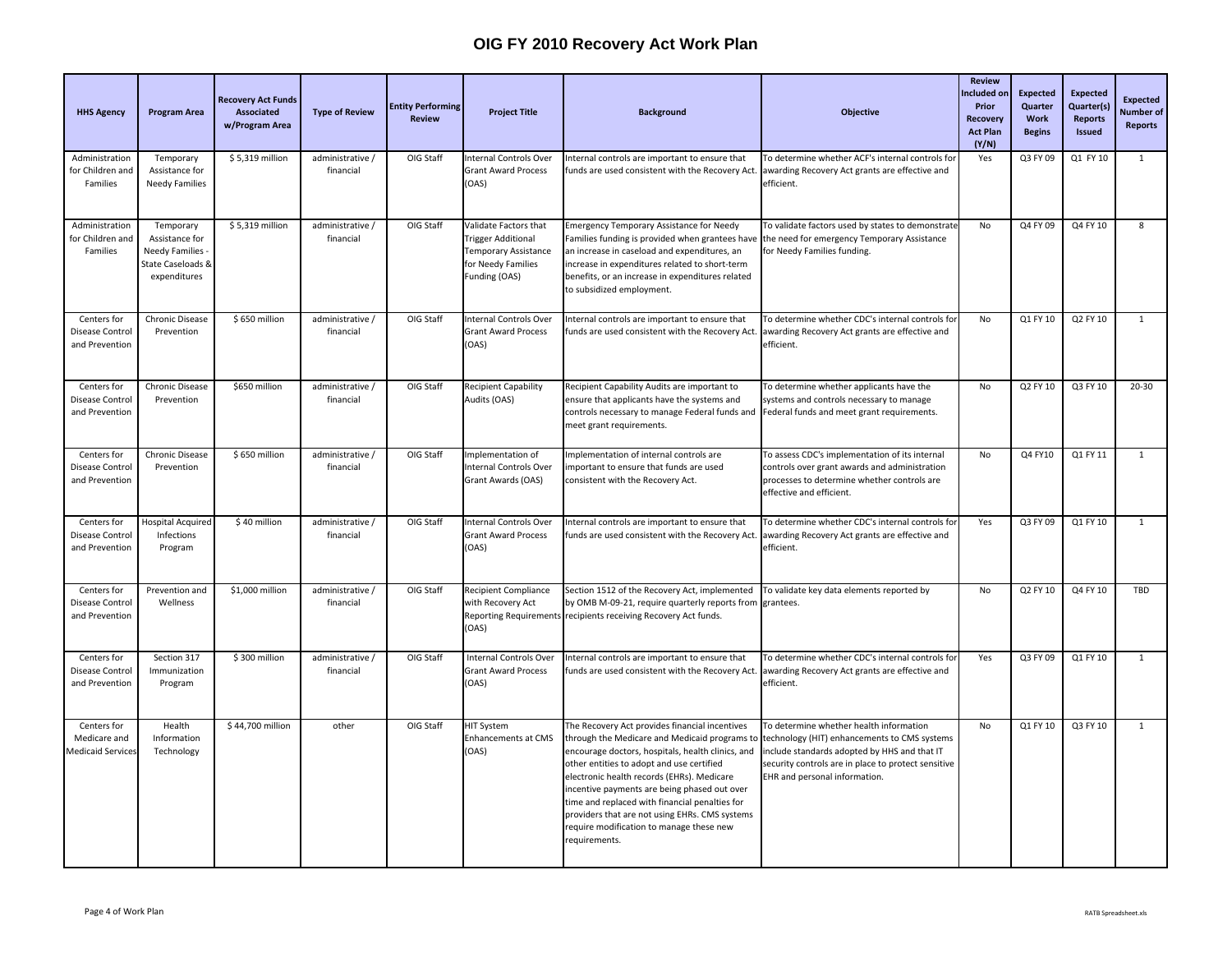| <b>HHS Agency</b>                                       | <b>Program Area</b>                                                                       | <b>Recovery Act Funds</b><br>Associated<br>w/Program Area | <b>Type of Review</b>         | <b>Entity Performing</b><br><b>Review</b> | <b>Project Title</b>                                                                                              | <b>Background</b>                                                                                                                                                                                                                                                                                                                                                                                                                                                | Objective                                                                                                                                                                                                                       | <b>Review</b><br>Included or<br>Prior<br>Recovery<br><b>Act Plan</b><br>(Y/N) | <b>Expected</b><br>Quarter<br>Work<br><b>Begins</b> | <b>Expected</b><br>Quarter(s)<br><b>Reports</b><br><b>Issued</b> | <b>Expected</b><br><b>Number</b> of<br>Reports |
|---------------------------------------------------------|-------------------------------------------------------------------------------------------|-----------------------------------------------------------|-------------------------------|-------------------------------------------|-------------------------------------------------------------------------------------------------------------------|------------------------------------------------------------------------------------------------------------------------------------------------------------------------------------------------------------------------------------------------------------------------------------------------------------------------------------------------------------------------------------------------------------------------------------------------------------------|---------------------------------------------------------------------------------------------------------------------------------------------------------------------------------------------------------------------------------|-------------------------------------------------------------------------------|-----------------------------------------------------|------------------------------------------------------------------|------------------------------------------------|
| Administration<br>for Children and<br>Families          | Temporary<br>Assistance for<br><b>Needy Families</b>                                      | \$5,319 million                                           | administrative /<br>financial | OIG Staff                                 | Internal Controls Over<br><b>Grant Award Process</b><br>(OAS)                                                     | nternal controls are important to ensure that<br>funds are used consistent with the Recovery Act.                                                                                                                                                                                                                                                                                                                                                                | To determine whether ACF's internal controls for<br>awarding Recovery Act grants are effective and<br>efficient.                                                                                                                | Yes                                                                           | Q3 FY 09                                            | Q1 FY 10                                                         | $\mathbf{1}$                                   |
| Administration<br>for Children and<br>Families          | Temporary<br>Assistance for<br><b>Needy Families</b><br>State Caseloads 8<br>expenditures | \$5,319 million                                           | administrative /<br>financial | OIG Staff                                 | Validate Factors that<br><b>Trigger Additional</b><br>Temporary Assistance<br>for Needy Families<br>Funding (OAS) | <b>Emergency Temporary Assistance for Needy</b><br>Families funding is provided when grantees have<br>an increase in caseload and expenditures, an<br>increase in expenditures related to short-term<br>benefits, or an increase in expenditures related<br>to subsidized employment.                                                                                                                                                                            | To validate factors used by states to demonstrate<br>the need for emergency Temporary Assistance<br>for Needy Families funding.                                                                                                 | No                                                                            | Q4 FY 09                                            | Q4 FY 10                                                         | 8                                              |
| Centers for<br>Disease Control<br>and Prevention        | Chronic Disease<br>Prevention                                                             | \$650 million                                             | administrative /<br>financial | OIG Staff                                 | <b>Internal Controls Over</b><br><b>Grant Award Process</b><br>(OAS)                                              | Internal controls are important to ensure that<br>unds are used consistent with the Recovery Act.                                                                                                                                                                                                                                                                                                                                                                | To determine whether CDC's internal controls for<br>awarding Recovery Act grants are effective and<br>efficient.                                                                                                                | No                                                                            | Q1 FY 10                                            | Q2 FY 10                                                         | $\mathbf{1}$                                   |
| Centers for<br>Disease Control<br>and Prevention        | Chronic Disease<br>Prevention                                                             | \$650 million                                             | administrative /<br>financial | OIG Staff                                 | <b>Recipient Capability</b><br>Audits (OAS)                                                                       | Recipient Capability Audits are important to<br>ensure that applicants have the systems and<br>controls necessary to manage Federal funds and<br>meet grant requirements.                                                                                                                                                                                                                                                                                        | To determine whether applicants have the<br>systems and controls necessary to manage<br>Federal funds and meet grant requirements.                                                                                              | No                                                                            | Q2 FY 10                                            | Q3 FY 10                                                         | $20 - 30$                                      |
| Centers for<br>Disease Control<br>and Prevention        | Chronic Disease<br>Prevention                                                             | \$650 million                                             | administrative /<br>financial | OIG Staff                                 | Implementation of<br><b>Internal Controls Over</b><br>Grant Awards (OAS)                                          | Implementation of internal controls are<br>mportant to ensure that funds are used<br>consistent with the Recovery Act.                                                                                                                                                                                                                                                                                                                                           | To assess CDC's implementation of its internal<br>controls over grant awards and administration<br>processes to determine whether controls are<br>effective and efficient.                                                      | <b>No</b>                                                                     | Q4 FY10                                             | Q1 FY 11                                                         | $\mathbf{1}$                                   |
| Centers for<br>Disease Control<br>and Prevention        | <b>Hospital Acquired</b><br>Infections<br>Program                                         | \$40 million                                              | administrative /<br>financial | OIG Staff                                 | Internal Controls Over<br><b>Grant Award Process</b><br>(OAS)                                                     | Internal controls are important to ensure that<br>unds are used consistent with the Recovery Act                                                                                                                                                                                                                                                                                                                                                                 | To determine whether CDC's internal controls for<br>awarding Recovery Act grants are effective and<br>efficient.                                                                                                                | Yes                                                                           | Q3 FY 09                                            | Q1 FY 10                                                         | $\mathbf{1}$                                   |
| Centers for<br>Disease Control<br>and Prevention        | Prevention and<br>Wellness                                                                | \$1,000 million                                           | administrative /<br>financial | OIG Staff                                 | <b>Recipient Compliance</b><br>with Recovery Act<br>(OAS)                                                         | Section 1512 of the Recovery Act, implemented<br>by OMB M-09-21, require quarterly reports from<br>Reporting Requirements recipients receiving Recovery Act funds.                                                                                                                                                                                                                                                                                               | To validate key data elements reported by<br>grantees.                                                                                                                                                                          | No                                                                            | Q2 FY 10                                            | Q4 FY 10                                                         | TBD                                            |
| Centers for<br>Disease Control<br>and Prevention        | Section 317<br>Immunization<br>Program                                                    | \$300 million                                             | administrative /<br>financial | OIG Staff                                 | Internal Controls Over<br><b>Grant Award Process</b><br>(OAS)                                                     | Internal controls are important to ensure that<br>funds are used consistent with the Recovery Act.                                                                                                                                                                                                                                                                                                                                                               | To determine whether CDC's internal controls for<br>awarding Recovery Act grants are effective and<br>efficient.                                                                                                                | Yes                                                                           | Q3 FY 09                                            | Q1 FY 10                                                         | $\mathbf{1}$                                   |
| Centers for<br>Medicare and<br><b>Medicaid Services</b> | Health<br>Information<br>Technology                                                       | \$44,700 million                                          | other                         | OIG Staff                                 | HIT System<br><b>Enhancements at CMS</b><br>(OAS)                                                                 | The Recovery Act provides financial incentives<br>through the Medicare and Medicaid programs to<br>encourage doctors, hospitals, health clinics, and<br>other entities to adopt and use certified<br>electronic health records (EHRs). Medicare<br>incentive payments are being phased out over<br>time and replaced with financial penalties for<br>providers that are not using EHRs. CMS systems<br>require modification to manage these new<br>requirements. | To determine whether health information<br>technology (HIT) enhancements to CMS systems<br>include standards adopted by HHS and that IT<br>security controls are in place to protect sensitive<br>EHR and personal information. | No                                                                            | Q1 FY 10                                            | Q3 FY 10                                                         | 1                                              |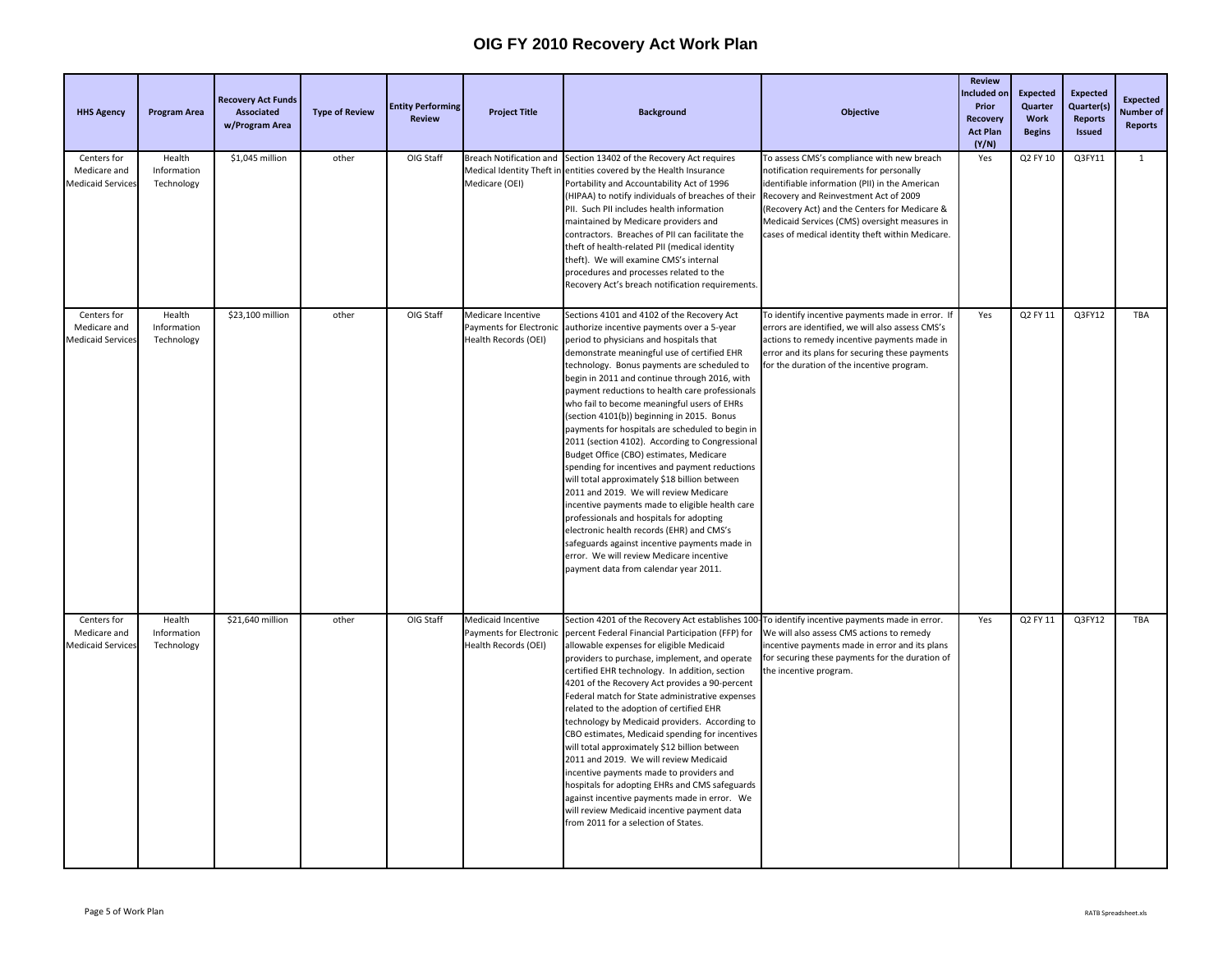| <b>HHS Agency</b>                                | <b>Program Area</b>                 | <b>Recovery Act Funds</b><br>Associated<br>w/Program Area | <b>Type of Review</b> | <b>Entity Performing</b><br><b>Review</b> | <b>Project Title</b>                                                  | <b>Background</b>                                                                                                                                                                                                                                                                                                                                                                                                                                                                                                                                                                                                                                                                                                                                                                                                                                                                                                                                                                                                   | <b>Objective</b>                                                                                                                                                                                                                                                                                                                      | <b>Review</b><br>Included on<br>Prior<br>Recovery<br><b>Act Plan</b><br>(Y/N) | <b>Expected</b><br><b>Quarter</b><br>Work<br><b>Begins</b> | <b>Expected</b><br>Quarter(s)<br><b>Reports</b><br><b>Issued</b> | <b>Expected</b><br>Number of<br><b>Reports</b> |
|--------------------------------------------------|-------------------------------------|-----------------------------------------------------------|-----------------------|-------------------------------------------|-----------------------------------------------------------------------|---------------------------------------------------------------------------------------------------------------------------------------------------------------------------------------------------------------------------------------------------------------------------------------------------------------------------------------------------------------------------------------------------------------------------------------------------------------------------------------------------------------------------------------------------------------------------------------------------------------------------------------------------------------------------------------------------------------------------------------------------------------------------------------------------------------------------------------------------------------------------------------------------------------------------------------------------------------------------------------------------------------------|---------------------------------------------------------------------------------------------------------------------------------------------------------------------------------------------------------------------------------------------------------------------------------------------------------------------------------------|-------------------------------------------------------------------------------|------------------------------------------------------------|------------------------------------------------------------------|------------------------------------------------|
| Centers for<br>Medicare and<br>Medicaid Service  | Health<br>Information<br>Technology | \$1,045 million                                           | other                 | OIG Staff                                 | Medical Identity Theft in<br>Medicare (OEI)                           | Breach Notification and Section 13402 of the Recovery Act requires<br>entities covered by the Health Insurance<br>Portability and Accountability Act of 1996<br>(HIPAA) to notify individuals of breaches of their<br>PII. Such PII includes health information<br>maintained by Medicare providers and<br>contractors. Breaches of PII can facilitate the<br>theft of health-related PII (medical identity<br>theft). We will examine CMS's internal<br>procedures and processes related to the<br>Recovery Act's breach notification requirements.                                                                                                                                                                                                                                                                                                                                                                                                                                                                | To assess CMS's compliance with new breach<br>notification requirements for personally<br>dentifiable information (PII) in the American<br>Recovery and Reinvestment Act of 2009<br>Recovery Act) and the Centers for Medicare &<br>Medicaid Services (CMS) oversight measures in<br>cases of medical identity theft within Medicare. | Yes                                                                           | Q2 FY 10                                                   | Q3FY11                                                           | $\mathbf{1}$                                   |
| Centers for<br>Medicare and<br>Medicaid Services | Health<br>Information<br>Technology | \$23,100 million                                          | other                 | OIG Staff                                 | Medicare Incentive<br>Payments for Electronic<br>Health Records (OEI) | Sections 4101 and 4102 of the Recovery Act<br>authorize incentive payments over a 5-year<br>period to physicians and hospitals that<br>demonstrate meaningful use of certified EHR<br>technology. Bonus payments are scheduled to<br>begin in 2011 and continue through 2016, with<br>payment reductions to health care professionals<br>who fail to become meaningful users of EHRs<br>(section 4101(b)) beginning in 2015. Bonus<br>payments for hospitals are scheduled to begin in<br>2011 (section 4102). According to Congressional<br>Budget Office (CBO) estimates, Medicare<br>spending for incentives and payment reductions<br>will total approximately \$18 billion between<br>2011 and 2019. We will review Medicare<br>incentive payments made to eligible health care<br>professionals and hospitals for adopting<br>electronic health records (EHR) and CMS's<br>safeguards against incentive payments made in<br>error. We will review Medicare incentive<br>payment data from calendar year 2011. | To identify incentive payments made in error. If<br>errors are identified, we will also assess CMS's<br>actions to remedy incentive payments made in<br>error and its plans for securing these payments<br>for the duration of the incentive program.                                                                                 | Yes                                                                           | Q2 FY 11                                                   | Q3FY12                                                           | TBA                                            |
| Centers for<br>Medicare and<br>Medicaid Service  | Health<br>Information<br>Technology | \$21,640 million                                          | other                 | OIG Staff                                 | Medicaid Incentive<br>Payments for Electronic<br>Health Records (OEI) | Section 4201 of the Recovery Act establishes 100-To identify incentive payments made in error.<br>percent Federal Financial Participation (FFP) for<br>allowable expenses for eligible Medicaid<br>providers to purchase, implement, and operate<br>certified EHR technology. In addition, section<br>4201 of the Recovery Act provides a 90-percent<br>Federal match for State administrative expenses<br>related to the adoption of certified EHR<br>technology by Medicaid providers. According to<br>CBO estimates, Medicaid spending for incentives<br>will total approximately \$12 billion between<br>2011 and 2019. We will review Medicaid<br>incentive payments made to providers and<br>hospitals for adopting EHRs and CMS safeguards<br>against incentive payments made in error. We<br>will review Medicaid incentive payment data<br>from 2011 for a selection of States.                                                                                                                            | We will also assess CMS actions to remedy<br>incentive payments made in error and its plans<br>for securing these payments for the duration of<br>the incentive program.                                                                                                                                                              | Yes                                                                           | Q2 FY 11                                                   | Q3FY12                                                           | TBA                                            |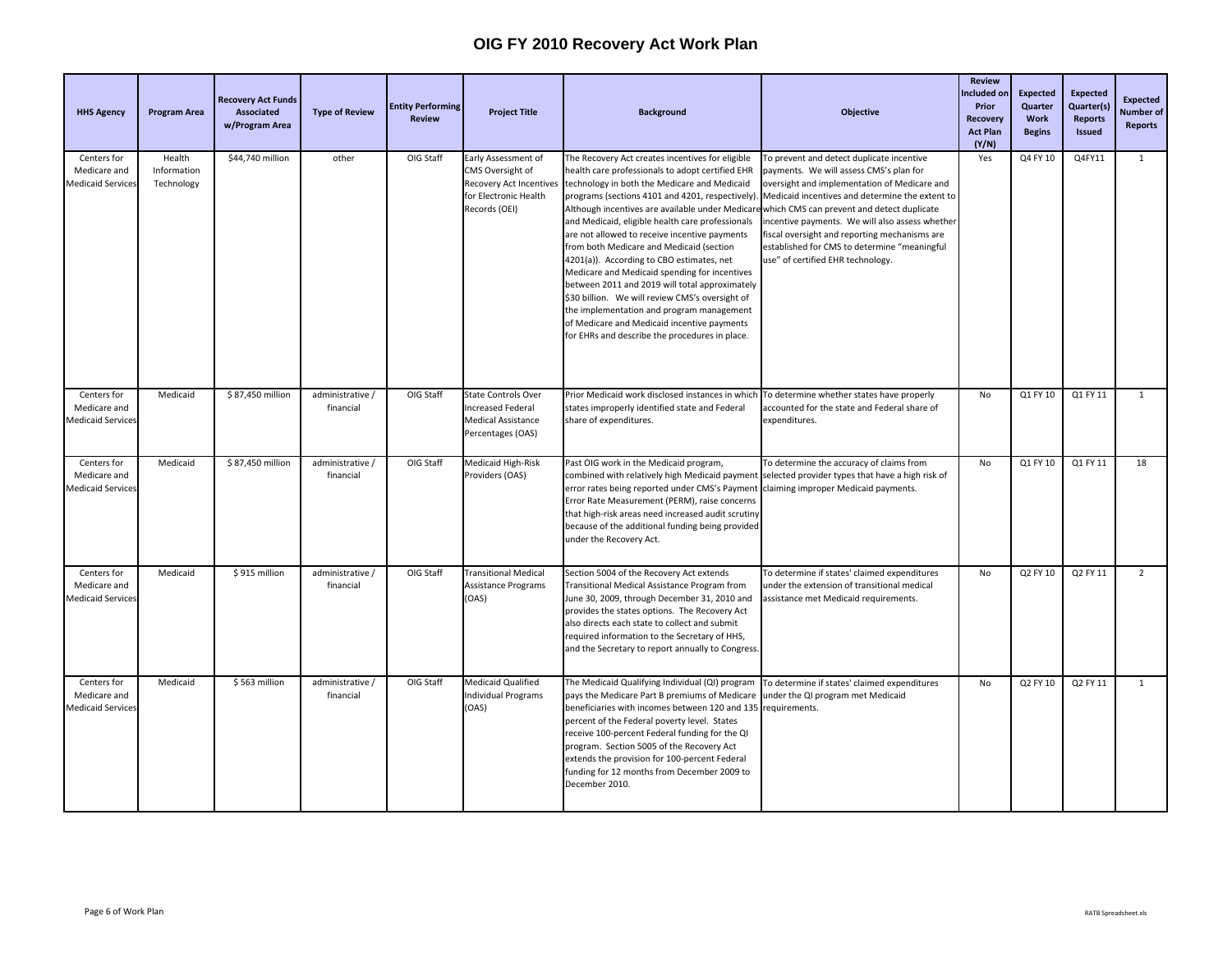| <b>HHS Agency</b>                                       | <b>Program Area</b>                 | <b>Recovery Act Funds</b><br><b>Associated</b><br>w/Program Area | <b>Type of Review</b>         | <b>Entity Performing</b><br><b>Review</b> | <b>Project Title</b>                                                                                         | <b>Background</b>                                                                                                                                                                                                                                                                                                                                                                                                                                                                                                                                                                                                                                                                                         | <b>Objective</b>                                                                                                                                                                                                                                                                                                                                                                                                                                                                | <b>Review</b><br>Included on<br>Prior<br><b>Recovery</b><br><b>Act Plan</b><br>(Y/N) | <b>Expected</b><br>Quarter<br>Work<br><b>Begins</b> | <b>Expected</b><br>Quarter(s)<br>Reports<br><b>Issued</b> | <b>Expected</b><br>Number of<br>Reports |
|---------------------------------------------------------|-------------------------------------|------------------------------------------------------------------|-------------------------------|-------------------------------------------|--------------------------------------------------------------------------------------------------------------|-----------------------------------------------------------------------------------------------------------------------------------------------------------------------------------------------------------------------------------------------------------------------------------------------------------------------------------------------------------------------------------------------------------------------------------------------------------------------------------------------------------------------------------------------------------------------------------------------------------------------------------------------------------------------------------------------------------|---------------------------------------------------------------------------------------------------------------------------------------------------------------------------------------------------------------------------------------------------------------------------------------------------------------------------------------------------------------------------------------------------------------------------------------------------------------------------------|--------------------------------------------------------------------------------------|-----------------------------------------------------|-----------------------------------------------------------|-----------------------------------------|
| Centers for<br>Medicare and<br><b>Medicaid Service</b>  | Health<br>Information<br>Technology | \$44,740 million                                                 | other                         | OIG Staff                                 | Early Assessment of<br>CMS Oversight of<br>Recovery Act Incentives<br>for Electronic Health<br>Records (OEI) | The Recovery Act creates incentives for eligible<br>health care professionals to adopt certified EHR<br>technology in both the Medicare and Medicaid<br>Although incentives are available under Medicar<br>and Medicaid, eligible health care professionals<br>are not allowed to receive incentive payments<br>from both Medicare and Medicaid (section<br>4201(a)). According to CBO estimates, net<br>Medicare and Medicaid spending for incentives<br>between 2011 and 2019 will total approximately<br>\$30 billion. We will review CMS's oversight of<br>the implementation and program management<br>of Medicare and Medicaid incentive payments<br>for EHRs and describe the procedures in place. | To prevent and detect duplicate incentive<br>payments. We will assess CMS's plan for<br>oversight and implementation of Medicare and<br>programs (sections 4101 and 4201, respectively). Medicaid incentives and determine the extent to<br>which CMS can prevent and detect duplicate<br>incentive payments. We will also assess whether<br>fiscal oversight and reporting mechanisms are<br>established for CMS to determine "meaningful<br>use" of certified EHR technology. | Yes                                                                                  | Q4 FY 10                                            | Q4FY11                                                    | $\mathbf{1}$                            |
| Centers for<br>Medicare and<br><b>Medicaid Services</b> | Medicaid                            | \$87,450 million                                                 | administrative /<br>financial | OIG Staff                                 | <b>State Controls Over</b><br><b>Increased Federal</b><br><b>Medical Assistance</b><br>Percentages (OAS)     | Prior Medicaid work disclosed instances in which<br>states improperly identified state and Federal<br>share of expenditures.                                                                                                                                                                                                                                                                                                                                                                                                                                                                                                                                                                              | To determine whether states have properly<br>accounted for the state and Federal share of<br>expenditures.                                                                                                                                                                                                                                                                                                                                                                      | No                                                                                   | Q1 FY 10                                            | Q1 FY 11                                                  | $\mathbf{1}$                            |
| Centers for<br>Medicare and<br>Medicaid Service         | Medicaid                            | \$87,450 million                                                 | administrative /<br>financial | OIG Staff                                 | Medicaid High-Risk<br>Providers (OAS)                                                                        | Past OIG work in the Medicaid program,<br>combined with relatively high Medicaid payment selected provider types that have a high risk of<br>error rates being reported under CMS's Payment<br>Error Rate Measurement (PERM), raise concerns<br>that high-risk areas need increased audit scrutiny<br>because of the additional funding being provided<br>under the Recovery Act.                                                                                                                                                                                                                                                                                                                         | To determine the accuracy of claims from<br>claiming improper Medicaid payments.                                                                                                                                                                                                                                                                                                                                                                                                | No                                                                                   | Q1 FY 10                                            | Q1 FY 11                                                  | 18                                      |
| Centers for<br>Medicare and<br><b>Medicaid Service:</b> | Medicaid                            | \$915 million                                                    | administrative /<br>financial | OIG Staff                                 | <b>Transitional Medical</b><br>Assistance Programs<br>(OAS)                                                  | Section 5004 of the Recovery Act extends<br>Transitional Medical Assistance Program from<br>June 30, 2009, through December 31, 2010 and<br>provides the states options. The Recovery Act<br>also directs each state to collect and submit<br>required information to the Secretary of HHS,<br>and the Secretary to report annually to Congress.                                                                                                                                                                                                                                                                                                                                                          | To determine if states' claimed expenditures<br>under the extension of transitional medical<br>assistance met Medicaid requirements.                                                                                                                                                                                                                                                                                                                                            | No                                                                                   | Q2 FY 10                                            | Q2 FY 11                                                  | $\overline{2}$                          |
| Centers for<br>Medicare and<br><b>Medicaid Services</b> | Medicaid                            | \$563 million                                                    | administrative /<br>financial | OIG Staff                                 | Medicaid Qualified<br><b>Individual Programs</b><br>(OAS)                                                    | The Medicaid Qualifying Individual (QI) program To determine if states' claimed expenditures<br>pays the Medicare Part B premiums of Medicare<br>beneficiaries with incomes between 120 and 135 requirements.<br>percent of the Federal poverty level. States<br>receive 100-percent Federal funding for the QI<br>program. Section 5005 of the Recovery Act<br>extends the provision for 100-percent Federal<br>funding for 12 months from December 2009 to<br>December 2010.                                                                                                                                                                                                                            | under the QI program met Medicaid                                                                                                                                                                                                                                                                                                                                                                                                                                               | No                                                                                   | Q2 FY 10                                            | Q2 FY 11                                                  | $\mathbf{1}$                            |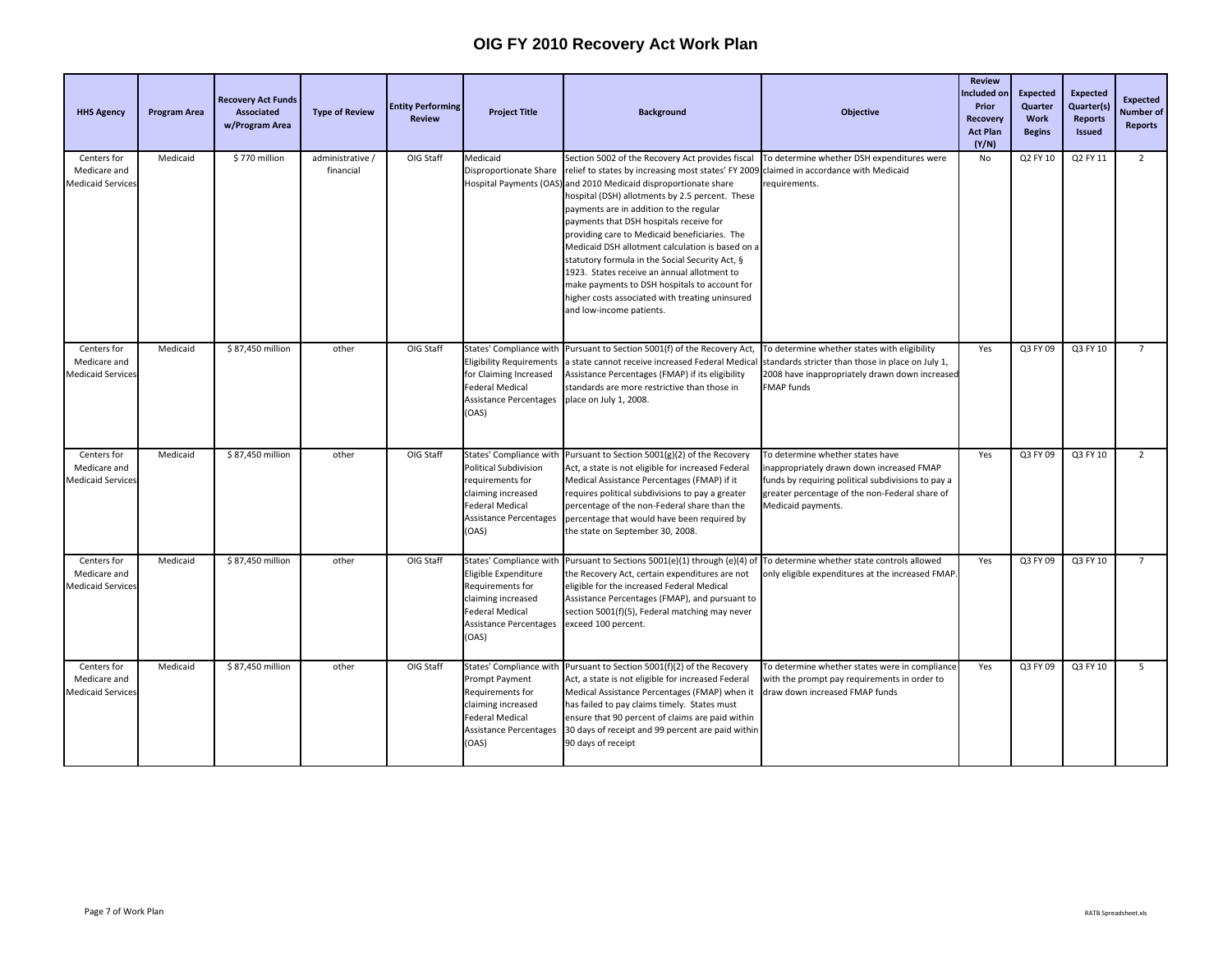| <b>HHS Agency</b>                                       | <b>Program Area</b> | <b>Recovery Act Funds</b><br><b>Associated</b><br>w/Program Area | <b>Type of Review</b>         | <b>Entity Performing</b><br><b>Review</b> | <b>Project Title</b>                                                                                                                      | <b>Background</b>                                                                                                                                                                                                                                                                                                                                                                                                                                                                                                                                                                                                                                           | <b>Objective</b>                                                                                                                                                                                          | <b>Review</b><br>ncluded or<br>Prior<br>Recovery<br><b>Act Plan</b><br>(Y/N) | <b>Expected</b><br>Quarter<br>Work<br><b>Begins</b> | <b>Expected</b><br>Quarter(s)<br><b>Reports</b><br><b>Issued</b> | <b>Expected</b><br>Number of<br>Reports |
|---------------------------------------------------------|---------------------|------------------------------------------------------------------|-------------------------------|-------------------------------------------|-------------------------------------------------------------------------------------------------------------------------------------------|-------------------------------------------------------------------------------------------------------------------------------------------------------------------------------------------------------------------------------------------------------------------------------------------------------------------------------------------------------------------------------------------------------------------------------------------------------------------------------------------------------------------------------------------------------------------------------------------------------------------------------------------------------------|-----------------------------------------------------------------------------------------------------------------------------------------------------------------------------------------------------------|------------------------------------------------------------------------------|-----------------------------------------------------|------------------------------------------------------------------|-----------------------------------------|
| Centers for<br>Medicare and<br><b>Medicaid Services</b> | Medicaid            | \$770 million                                                    | administrative /<br>financial | OIG Staff                                 | Medicaid<br>Disproportionate Share                                                                                                        | Section 5002 of the Recovery Act provides fiscal<br>relief to states by increasing most states' FY 2009<br>Hospital Payments (OAS) and 2010 Medicaid disproportionate share<br>nospital (DSH) allotments by 2.5 percent. These<br>payments are in addition to the regular<br>payments that DSH hospitals receive for<br>providing care to Medicaid beneficiaries. The<br>Medicaid DSH allotment calculation is based on a<br>statutory formula in the Social Security Act, §<br>1923. States receive an annual allotment to<br>make payments to DSH hospitals to account for<br>higher costs associated with treating uninsured<br>and low-income patients. | To determine whether DSH expenditures were<br>claimed in accordance with Medicaid<br>equirements.                                                                                                         | No                                                                           | Q2 FY 10                                            | Q2 FY 11                                                         | $\overline{2}$                          |
| Centers for<br>Medicare and<br><b>Medicaid Services</b> | Medicaid            | \$87,450 million                                                 | other                         | OIG Staff                                 | <b>Eligibility Requirements</b><br>for Claiming Increased<br>Federal Medical<br>Assistance Percentages<br>(OAS)                           | States' Compliance with Pursuant to Section 5001(f) of the Recovery Act,<br>a state cannot receive increased Federal Medica<br>Assistance Percentages (FMAP) if its eligibility<br>standards are more restrictive than those in<br>place on July 1, 2008.                                                                                                                                                                                                                                                                                                                                                                                                   | To determine whether states with eligibility<br>standards stricter than those in place on July 1,<br>2008 have inappropriately drawn down increased<br>FMAP funds                                         | Yes                                                                          | Q3 FY 09                                            | Q3 FY 10                                                         | $\overline{7}$                          |
| Centers for<br>Medicare and<br>Medicaid Service:        | Medicaid            | \$87,450 million                                                 | other                         | OIG Staff                                 | Political Subdivision<br>requirements for<br>claiming increased<br>Federal Medical<br>Assistance Percentages<br>(OAS)                     | States' Compliance with Pursuant to Section 5001(g)(2) of the Recovery<br>Act, a state is not eligible for increased Federal<br>Medical Assistance Percentages (FMAP) if it<br>requires political subdivisions to pay a greater<br>percentage of the non-Federal share than the<br>percentage that would have been required by<br>the state on September 30, 2008.                                                                                                                                                                                                                                                                                          | To determine whether states have<br>nappropriately drawn down increased FMAP<br>unds by requiring political subdivisions to pay a<br>greater percentage of the non-Federal share of<br>Medicaid payments. | Yes                                                                          | Q3 FY 09                                            | Q3 FY 10                                                         | $\overline{2}$                          |
| Centers for<br>Medicare and<br><b>Medicaid Services</b> | Medicaid            | \$87,450 million                                                 | other                         | OIG Staff                                 | Eligible Expenditure<br>Requirements for<br>claiming increased<br>Federal Medical<br>Assistance Percentages<br>(OAS)                      | States' Compliance with Pursuant to Sections 5001(e)(1) through (e)(4) of<br>the Recovery Act, certain expenditures are not<br>eligible for the increased Federal Medical<br>Assistance Percentages (FMAP), and pursuant to<br>section 5001(f)(5), Federal matching may never<br>exceed 100 percent.                                                                                                                                                                                                                                                                                                                                                        | To determine whether state controls allowed<br>only eligible expenditures at the increased FMAP                                                                                                           | Yes                                                                          | Q3 FY 09                                            | Q3 FY 10                                                         | $\overline{7}$                          |
| Centers for<br>Medicare and<br>Medicaid Service:        | Medicaid            | \$87,450 million                                                 | other                         | OIG Staff                                 | States' Compliance with<br>Prompt Payment<br>Requirements for<br>claiming increased<br>Federal Medical<br>Assistance Percentages<br>(OAS) | Pursuant to Section 5001(f)(2) of the Recovery<br>Act, a state is not eligible for increased Federal<br>Medical Assistance Percentages (FMAP) when it<br>has failed to pay claims timely. States must<br>ensure that 90 percent of claims are paid within<br>30 days of receipt and 99 percent are paid withir<br>90 days of receipt                                                                                                                                                                                                                                                                                                                        | To determine whether states were in compliance<br>with the prompt pay requirements in order to<br>draw down increased FMAP funds                                                                          | Yes                                                                          | Q3 FY 09                                            | Q3 FY 10                                                         | 5                                       |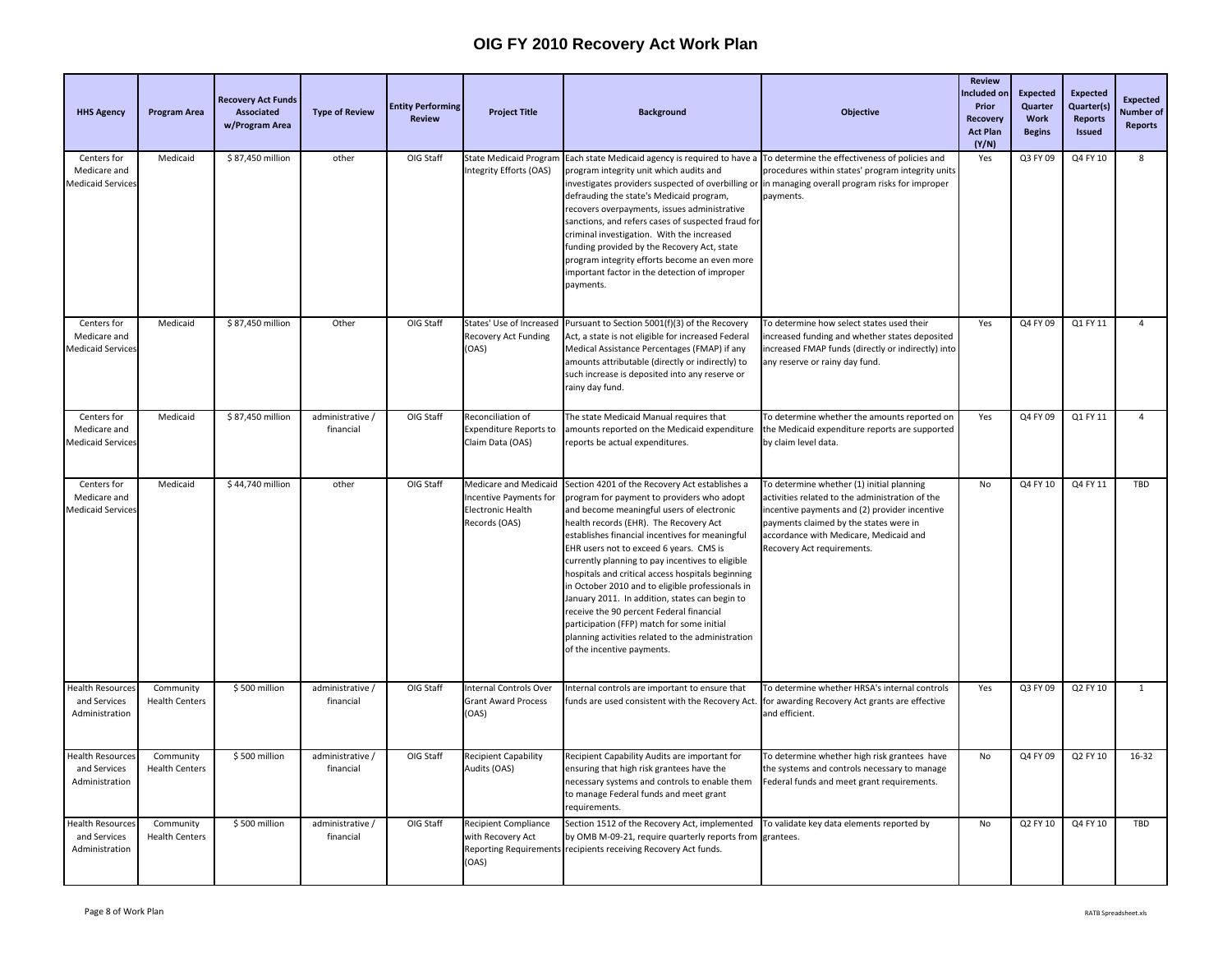| <b>HHS Agency</b>                                         | <b>Program Area</b>                | <b>Recovery Act Funds</b><br>Associated<br>w/Program Area | <b>Type of Review</b>         | <b>Entity Performing</b><br><b>Review</b> | <b>Project Title</b>                                                                                | <b>Background</b>                                                                                                                                                                                                                                                                                                                                                                                                                                                                                                                                                                                                                                                            | <b>Objective</b>                                                                                                                                                                                                                                                | <b>Review</b><br>ncluded or<br>Prior<br><b>Recovery</b><br><b>Act Plan</b><br>(Y/N) | <b>Expected</b><br>Quarter<br>Work<br><b>Begins</b> | <b>Expected</b><br>Quarter(s)<br><b>Reports</b><br><b>Issued</b> | <b>Expected</b><br><b>Number</b> of<br><b>Reports</b> |
|-----------------------------------------------------------|------------------------------------|-----------------------------------------------------------|-------------------------------|-------------------------------------------|-----------------------------------------------------------------------------------------------------|------------------------------------------------------------------------------------------------------------------------------------------------------------------------------------------------------------------------------------------------------------------------------------------------------------------------------------------------------------------------------------------------------------------------------------------------------------------------------------------------------------------------------------------------------------------------------------------------------------------------------------------------------------------------------|-----------------------------------------------------------------------------------------------------------------------------------------------------------------------------------------------------------------------------------------------------------------|-------------------------------------------------------------------------------------|-----------------------------------------------------|------------------------------------------------------------------|-------------------------------------------------------|
| Centers for<br>Medicare and<br><b>Medicaid Service:</b>   | Medicaid                           | \$87,450 million                                          | other                         | OIG Staff                                 | <b>State Medicaid Program</b><br>Integrity Efforts (OAS)                                            | Each state Medicaid agency is required to have a<br>program integrity unit which audits and<br>investigates providers suspected of overbilling or<br>defrauding the state's Medicaid program,<br>recovers overpayments, issues administrative<br>sanctions, and refers cases of suspected fraud for<br>criminal investigation. With the increased<br>funding provided by the Recovery Act, state<br>program integrity efforts become an even more<br>important factor in the detection of improper<br>payments.                                                                                                                                                              | To determine the effectiveness of policies and<br>procedures within states' program integrity units<br>in managing overall program risks for improper<br>payments.                                                                                              | Yes                                                                                 | Q3 FY 09                                            | Q4 FY 10                                                         | 8                                                     |
| Centers for<br>Medicare and<br><b>Medicaid Services</b>   | Medicaid                           | \$87,450 million                                          | Other                         | OIG Staff                                 | States' Use of Increased<br>Recovery Act Funding<br>(OAS)                                           | Pursuant to Section 5001(f)(3) of the Recovery<br>Act, a state is not eligible for increased Federal<br>Medical Assistance Percentages (FMAP) if any<br>amounts attributable (directly or indirectly) to<br>such increase is deposited into any reserve or<br>rainy day fund.                                                                                                                                                                                                                                                                                                                                                                                                | To determine how select states used their<br>increased funding and whether states deposited<br>increased FMAP funds (directly or indirectly) into<br>any reserve or rainy day fund.                                                                             | Yes                                                                                 | Q4 FY 09                                            | Q1 FY 11                                                         | $\overline{4}$                                        |
| Centers for<br>Medicare and<br><b>Medicaid Services</b>   | Medicaid                           | \$87,450 million                                          | administrative /<br>financial | OIG Staff                                 | Reconciliation of<br><b>Expenditure Reports to</b><br>Claim Data (OAS)                              | The state Medicaid Manual requires that<br>amounts reported on the Medicaid expenditure<br>reports be actual expenditures.                                                                                                                                                                                                                                                                                                                                                                                                                                                                                                                                                   | To determine whether the amounts reported on<br>the Medicaid expenditure reports are supported<br>by claim level data.                                                                                                                                          | Yes                                                                                 | Q4 FY 09                                            | Q1 FY 11                                                         | $\Delta$                                              |
| Centers for<br>Medicare and<br><b>Medicaid Services</b>   | Medicaid                           | \$44,740 million                                          | other                         | OIG Staff                                 | Medicare and Medicaid<br><b>Incentive Payments for</b><br><b>Electronic Health</b><br>Records (OAS) | Section 4201 of the Recovery Act establishes a<br>rogram for payment to providers who adopt<br>and become meaningful users of electronic<br>health records (EHR). The Recovery Act<br>establishes financial incentives for meaningful<br>EHR users not to exceed 6 years. CMS is<br>currently planning to pay incentives to eligible<br>hospitals and critical access hospitals beginning<br>in October 2010 and to eligible professionals in<br>January 2011. In addition, states can begin to<br>receive the 90 percent Federal financial<br>participation (FFP) match for some initial<br>planning activities related to the administration<br>of the incentive payments. | To determine whether (1) initial planning<br>activities related to the administration of the<br>incentive payments and (2) provider incentive<br>payments claimed by the states were in<br>accordance with Medicare, Medicaid and<br>Recovery Act requirements. | <b>No</b>                                                                           | Q4 FY 10                                            | Q4 FY 11                                                         | TBD                                                   |
| <b>Health Resources</b><br>and Services<br>Administration | Community<br><b>Health Centers</b> | \$500 million                                             | administrative /<br>financial | OIG Staff                                 | <b>Internal Controls Over</b><br><b>Grant Award Process</b><br>(OAS)                                | Internal controls are important to ensure that<br>funds are used consistent with the Recovery Act.                                                                                                                                                                                                                                                                                                                                                                                                                                                                                                                                                                           | To determine whether HRSA's internal controls<br>for awarding Recovery Act grants are effective<br>and efficient.                                                                                                                                               | Yes                                                                                 | Q3 FY 09                                            | Q2 FY 10                                                         | $\mathbf{1}$                                          |
| <b>Health Resource</b><br>and Services<br>Administration  | Community<br><b>Health Centers</b> | \$500 million                                             | administrative /<br>financial | OIG Staff                                 | <b>Recipient Capability</b><br>Audits (OAS)                                                         | Recipient Capability Audits are important for<br>ensuring that high risk grantees have the<br>necessary systems and controls to enable them<br>to manage Federal funds and meet grant<br>requirements.                                                                                                                                                                                                                                                                                                                                                                                                                                                                       | To determine whether high risk grantees have<br>the systems and controls necessary to manage<br>Federal funds and meet grant requirements.                                                                                                                      | No                                                                                  | Q4 FY 09                                            | Q2 FY 10                                                         | 16-32                                                 |
| Health Resource:<br>and Services<br>Administration        | Community<br><b>Health Centers</b> | \$500 million                                             | administrative /<br>financial | OIG Staff                                 | <b>Recipient Compliance</b><br>with Recovery Act<br>(OAS)                                           | Section 1512 of the Recovery Act, implemented<br>by OMB M-09-21, require quarterly reports from<br>Reporting Requirements recipients receiving Recovery Act funds.                                                                                                                                                                                                                                                                                                                                                                                                                                                                                                           | To validate key data elements reported by<br>grantees.                                                                                                                                                                                                          | No                                                                                  | Q2 FY 10                                            | Q4 FY 10                                                         | TBD                                                   |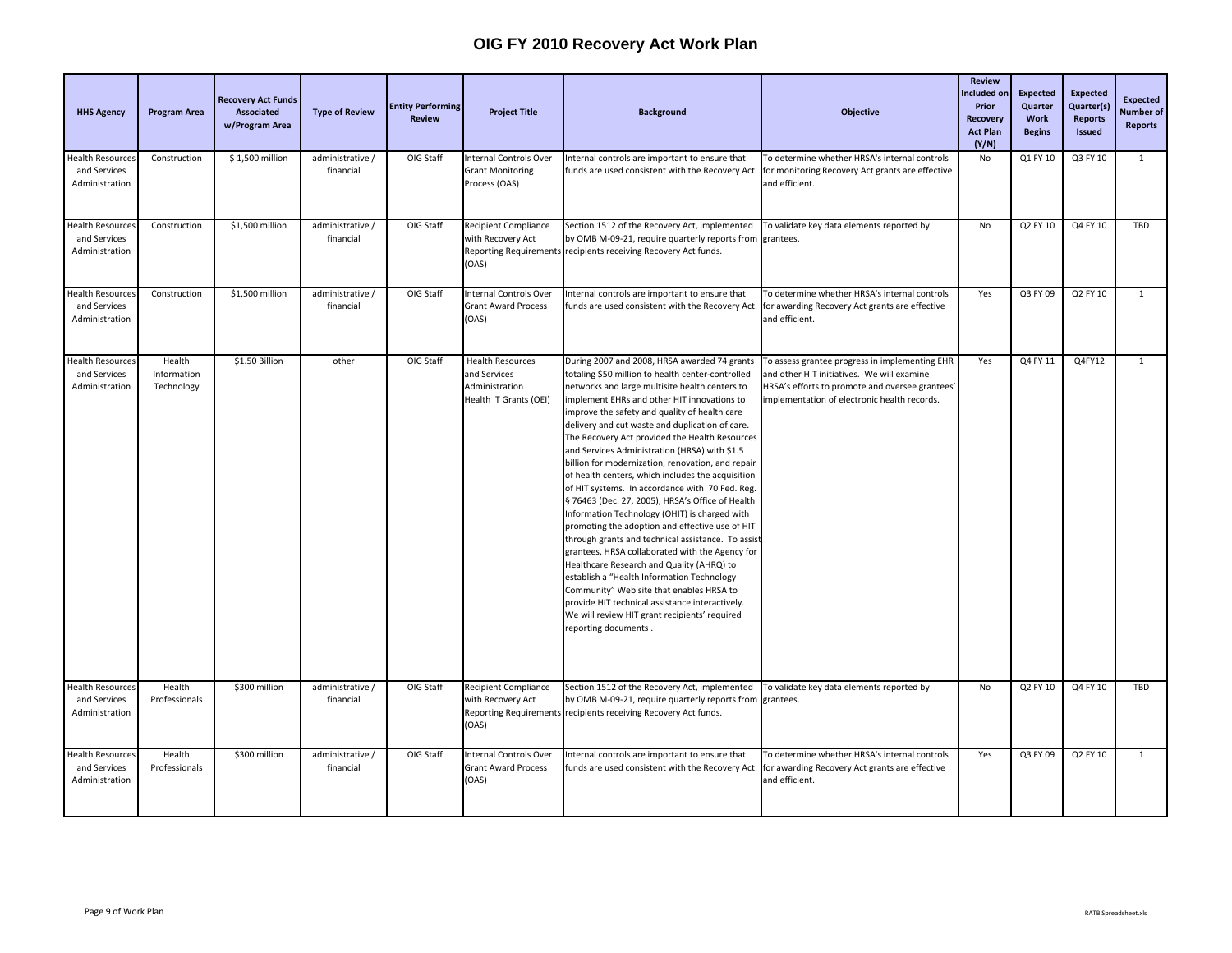| <b>HHS Agency</b>                                         | <b>Program Area</b>                 | <b>Recovery Act Funds</b><br>Associated<br>w/Program Area | <b>Type of Review</b>         | <b>Entity Performing</b><br><b>Review</b> | <b>Project Title</b>                                                                | <b>Background</b>                                                                                                                                                                                                                                                                                                                                                                                                                                                                                                                                                                                                                                                                                                                                                                                                                                                                                                                                                                                                                                                                                         | <b>Objective</b>                                                                                                                                                                               | <b>Review</b><br>ncluded on<br>Prior<br><b>Recovery</b><br><b>Act Plan</b><br>(Y/N) | <b>Expected</b><br><b>Quarter</b><br>Work<br><b>Begins</b> | <b>Expected</b><br>Quarter(s)<br><b>Reports</b><br><b>Issued</b> | <b>Expected</b><br>Number of<br><b>Reports</b> |
|-----------------------------------------------------------|-------------------------------------|-----------------------------------------------------------|-------------------------------|-------------------------------------------|-------------------------------------------------------------------------------------|-----------------------------------------------------------------------------------------------------------------------------------------------------------------------------------------------------------------------------------------------------------------------------------------------------------------------------------------------------------------------------------------------------------------------------------------------------------------------------------------------------------------------------------------------------------------------------------------------------------------------------------------------------------------------------------------------------------------------------------------------------------------------------------------------------------------------------------------------------------------------------------------------------------------------------------------------------------------------------------------------------------------------------------------------------------------------------------------------------------|------------------------------------------------------------------------------------------------------------------------------------------------------------------------------------------------|-------------------------------------------------------------------------------------|------------------------------------------------------------|------------------------------------------------------------------|------------------------------------------------|
| <b>Health Resources</b><br>and Services<br>Administration | Construction                        | \$1,500 million                                           | administrative /<br>financial | OIG Staff                                 | <b>Internal Controls Over</b><br><b>Grant Monitoring</b><br>Process (OAS)           | Internal controls are important to ensure that<br>funds are used consistent with the Recovery Act.                                                                                                                                                                                                                                                                                                                                                                                                                                                                                                                                                                                                                                                                                                                                                                                                                                                                                                                                                                                                        | To determine whether HRSA's internal controls<br>for monitoring Recovery Act grants are effective<br>and efficient.                                                                            | No                                                                                  | Q1 FY 10                                                   | Q3 FY 10                                                         | $\mathbf{1}$                                   |
| Health Resource:<br>and Services<br>Administration        | Construction                        | \$1,500 million                                           | administrative /<br>financial | OIG Staff                                 | <b>Recipient Compliance</b><br>with Recovery Act<br>(OAS)                           | Section 1512 of the Recovery Act, implemented<br>by OMB M-09-21, require quarterly reports from<br>Reporting Requirements recipients receiving Recovery Act funds.                                                                                                                                                                                                                                                                                                                                                                                                                                                                                                                                                                                                                                                                                                                                                                                                                                                                                                                                        | To validate key data elements reported by<br>grantees.                                                                                                                                         | No                                                                                  | Q2 FY 10                                                   | Q4 FY 10                                                         | TBD                                            |
| Health Resource:<br>and Services<br>Administration        | Construction                        | \$1,500 million                                           | administrative /<br>financial | OIG Staff                                 | Internal Controls Over<br><b>Grant Award Process</b><br>(OAS)                       | Internal controls are important to ensure that<br>funds are used consistent with the Recovery Act.                                                                                                                                                                                                                                                                                                                                                                                                                                                                                                                                                                                                                                                                                                                                                                                                                                                                                                                                                                                                        | To determine whether HRSA's internal controls<br>for awarding Recovery Act grants are effective<br>and efficient.                                                                              | Yes                                                                                 | Q3 FY 09                                                   | Q2 FY 10                                                         | $\mathbf{1}$                                   |
| <b>Health Resource:</b><br>and Services<br>Administration | Health<br>Information<br>Technology | \$1.50 Billion                                            | other                         | OIG Staff                                 | <b>Health Resources</b><br>and Services<br>Administration<br>Health IT Grants (OEI) | During 2007 and 2008, HRSA awarded 74 grants<br>totaling \$50 million to health center-controlled<br>networks and large multisite health centers to<br>implement EHRs and other HIT innovations to<br>improve the safety and quality of health care<br>delivery and cut waste and duplication of care.<br>The Recovery Act provided the Health Resources<br>and Services Administration (HRSA) with \$1.5<br>billion for modernization, renovation, and repair<br>of health centers, which includes the acquisition<br>of HIT systems. In accordance with 70 Fed. Reg.<br>§ 76463 (Dec. 27, 2005), HRSA's Office of Health<br>Information Technology (OHIT) is charged with<br>promoting the adoption and effective use of HIT<br>through grants and technical assistance. To assis<br>grantees, HRSA collaborated with the Agency for<br>Healthcare Research and Quality (AHRQ) to<br>establish a "Health Information Technology<br>Community" Web site that enables HRSA to<br>provide HIT technical assistance interactively.<br>We will review HIT grant recipients' required<br>reporting documents. | To assess grantee progress in implementing EHR<br>and other HIT initiatives. We will examine<br>HRSA's efforts to promote and oversee grantees'<br>mplementation of electronic health records. | Yes                                                                                 | Q4 FY 11                                                   | Q4FY12                                                           | $\mathbf{1}$                                   |
| <b>Health Resources</b><br>and Services<br>Administration | Health<br>Professionals             | \$300 million                                             | administrative /<br>financial | OIG Staff                                 | <b>Recipient Compliance</b><br>with Recovery Act<br>(OAS)                           | Section 1512 of the Recovery Act, implemented<br>by OMB M-09-21, require quarterly reports from<br>Reporting Requirements recipients receiving Recovery Act funds.                                                                                                                                                                                                                                                                                                                                                                                                                                                                                                                                                                                                                                                                                                                                                                                                                                                                                                                                        | To validate key data elements reported by<br>grantees.                                                                                                                                         | No                                                                                  | Q2 FY 10                                                   | Q4 FY 10                                                         | TBD                                            |
| <b>Health Resources</b><br>and Services<br>Administration | Health<br>Professionals             | \$300 million                                             | administrative /<br>financial | OIG Staff                                 | <b>Internal Controls Over</b><br><b>Grant Award Process</b><br>(OAS)                | Internal controls are important to ensure that<br>funds are used consistent with the Recovery Act.                                                                                                                                                                                                                                                                                                                                                                                                                                                                                                                                                                                                                                                                                                                                                                                                                                                                                                                                                                                                        | To determine whether HRSA's internal controls<br>for awarding Recovery Act grants are effective<br>and efficient.                                                                              | Yes                                                                                 | Q3 FY 09                                                   | Q2 FY 10                                                         | $\overline{1}$                                 |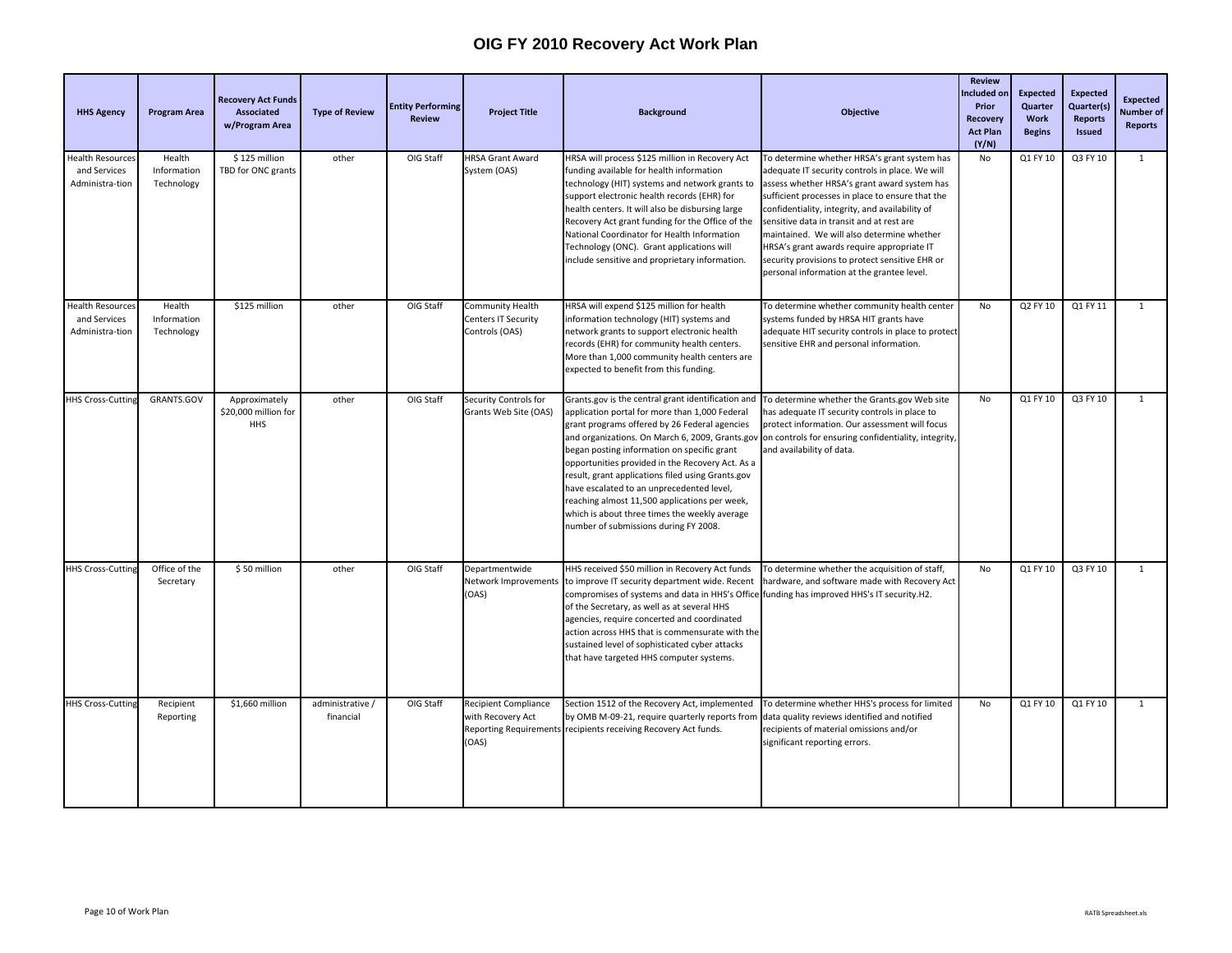| <b>HHS Agency</b>                                          | <b>Program Area</b>                 | <b>Recovery Act Funds</b><br><b>Associated</b><br>w/Program Area | <b>Type of Review</b>         | <b>Entity Performing</b><br><b>Review</b> | <b>Project Title</b>                                                    | <b>Background</b>                                                                                                                                                                                                                                                                                                                                                                                                                                                                                                                                        | <b>Objective</b>                                                                                                                                                                                                                                                                                                                                                                                                                                                                                 | <b>Review</b><br>ncluded on<br>Prior<br><b>Recovery</b><br><b>Act Plan</b><br>(Y/N) | <b>Expected</b><br>Quarter<br>Work<br><b>Begins</b> | <b>Expected</b><br>Quarter(s)<br><b>Reports</b><br>Issued | <b>Expected</b><br>Number of<br><b>Reports</b> |
|------------------------------------------------------------|-------------------------------------|------------------------------------------------------------------|-------------------------------|-------------------------------------------|-------------------------------------------------------------------------|----------------------------------------------------------------------------------------------------------------------------------------------------------------------------------------------------------------------------------------------------------------------------------------------------------------------------------------------------------------------------------------------------------------------------------------------------------------------------------------------------------------------------------------------------------|--------------------------------------------------------------------------------------------------------------------------------------------------------------------------------------------------------------------------------------------------------------------------------------------------------------------------------------------------------------------------------------------------------------------------------------------------------------------------------------------------|-------------------------------------------------------------------------------------|-----------------------------------------------------|-----------------------------------------------------------|------------------------------------------------|
| Health Resources<br>and Services<br>Administra-tion        | Health<br>Information<br>Technology | \$125 million<br>TBD for ONC grants                              | other                         | OIG Staff                                 | <b>HRSA Grant Award</b><br>System (OAS)                                 | HRSA will process \$125 million in Recovery Act<br>funding available for health information<br>technology (HIT) systems and network grants to<br>support electronic health records (EHR) for<br>health centers. It will also be disbursing large<br>Recovery Act grant funding for the Office of the<br>National Coordinator for Health Information<br>Technology (ONC). Grant applications will<br>include sensitive and proprietary information.                                                                                                       | To determine whether HRSA's grant system has<br>adequate IT security controls in place. We will<br>assess whether HRSA's grant award system has<br>sufficient processes in place to ensure that the<br>confidentiality, integrity, and availability of<br>sensitive data in transit and at rest are<br>maintained. We will also determine whether<br>HRSA's grant awards require appropriate IT<br>security provisions to protect sensitive EHR or<br>personal information at the grantee level. | No                                                                                  | Q1 FY 10                                            | Q3 FY 10                                                  | $\mathbf{1}$                                   |
| <b>Health Resources</b><br>and Services<br>Administra-tion | Health<br>Information<br>Technology | \$125 million                                                    | other                         | OIG Staff                                 | <b>Community Health</b><br><b>Centers IT Security</b><br>Controls (OAS) | HRSA will expend \$125 million for health<br>information technology (HIT) systems and<br>network grants to support electronic health<br>records (EHR) for community health centers.<br>More than 1,000 community health centers are<br>expected to benefit from this funding.                                                                                                                                                                                                                                                                            | To determine whether community health center<br>systems funded by HRSA HIT grants have<br>adequate HIT security controls in place to protect<br>sensitive EHR and personal information.                                                                                                                                                                                                                                                                                                          | No                                                                                  | Q2 FY 10                                            | Q1 FY 11                                                  | $\mathbf{1}$                                   |
| <b>HHS Cross-Cuttin</b>                                    | GRANTS.GOV                          | Approximately<br>\$20,000 million for<br><b>HHS</b>              | other                         | OIG Staff                                 | Security Controls for<br>Grants Web Site (OAS)                          | Grants.gov is the central grant identification and<br>application portal for more than 1,000 Federal<br>grant programs offered by 26 Federal agencies<br>and organizations. On March 6, 2009, Grants.gov<br>began posting information on specific grant<br>opportunities provided in the Recovery Act. As a<br>result, grant applications filed using Grants.gov<br>have escalated to an unprecedented level,<br>reaching almost 11,500 applications per week,<br>which is about three times the weekly average<br>number of submissions during FY 2008. | To determine whether the Grants.gov Web site<br>has adequate IT security controls in place to<br>protect information. Our assessment will focus<br>on controls for ensuring confidentiality, integrity,<br>and availability of data.                                                                                                                                                                                                                                                             | No                                                                                  | Q1 FY 10                                            | Q3 FY 10                                                  | $\mathbf{1}$                                   |
| <b>HHS Cross-Cutting</b>                                   | Office of the<br>Secretary          | \$50 million                                                     | other                         | OIG Staff                                 | Departmentwide<br>Network Improvements<br>(OAS)                         | HHS received \$50 million in Recovery Act funds<br>to improve IT security department wide. Recent<br>compromises of systems and data in HHS's Office funding has improved HHS's IT security.H2.<br>of the Secretary, as well as at several HHS<br>agencies, require concerted and coordinated<br>action across HHS that is commensurate with the<br>sustained level of sophisticated cyber attacks<br>that have targeted HHS computer systems.                                                                                                           | To determine whether the acquisition of staff,<br>hardware, and software made with Recovery Act                                                                                                                                                                                                                                                                                                                                                                                                  | No                                                                                  | Q1 FY 10                                            | Q3 FY 10                                                  | $\mathbf{1}$                                   |
| <b>HHS Cross-Cutting</b>                                   | Recipient<br>Reporting              | \$1,660 million                                                  | administrative /<br>financial | OIG Staff                                 | <b>Recipient Compliance</b><br>with Recovery Act<br>(OAS)               | Section 1512 of the Recovery Act, implemented<br>by OMB M-09-21, require quarterly reports from<br>Reporting Requirements recipients receiving Recovery Act funds.                                                                                                                                                                                                                                                                                                                                                                                       | To determine whether HHS's process for limited<br>data quality reviews identified and notified<br>recipients of material omissions and/or<br>significant reporting errors.                                                                                                                                                                                                                                                                                                                       | No                                                                                  | Q1 FY 10                                            | Q1 FY 10                                                  | $\overline{1}$                                 |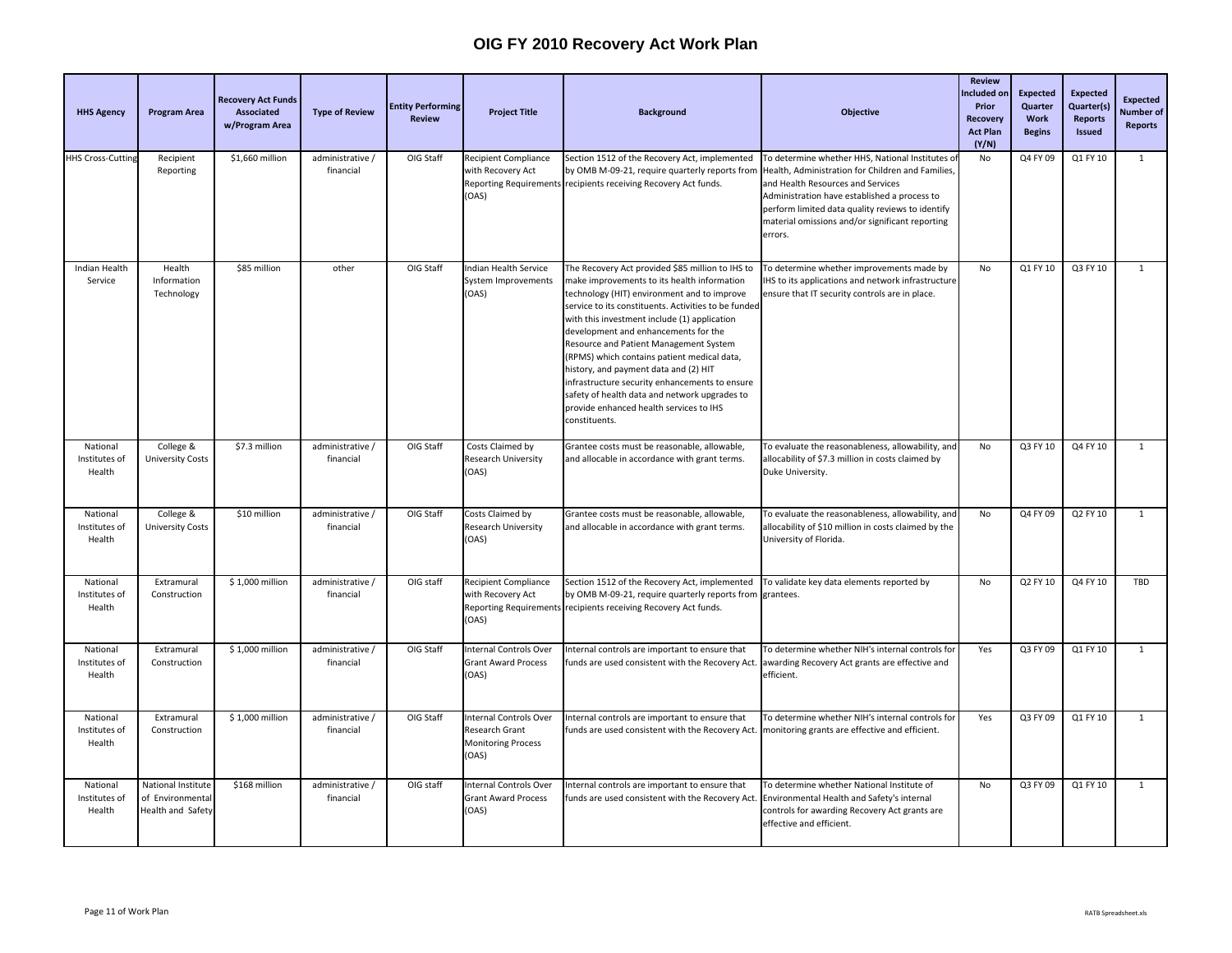| <b>HHS Agency</b>                   | <b>Program Area</b>                                         | <b>Recovery Act Funds</b><br>Associated<br>w/Program Area | <b>Type of Review</b>         | <b>Entity Performing</b><br><b>Review</b> | <b>Project Title</b>                                                    | <b>Background</b>                                                                                                                                                                                                                                                                                                                                                                                                                                                                                                                                                                               | <b>Objective</b>                                                                                                                                                                                                                                                                                            | <b>Review</b><br>ncluded or<br>Prior<br>Recovery<br><b>Act Plan</b><br>(Y/N) | <b>Expected</b><br>Quarter<br>Work<br><b>Begins</b> | <b>Expected</b><br>Quarter(s)<br><b>Reports</b><br><b>Issued</b> | <b>Expected</b><br><b>Number</b> of<br><b>Reports</b> |
|-------------------------------------|-------------------------------------------------------------|-----------------------------------------------------------|-------------------------------|-------------------------------------------|-------------------------------------------------------------------------|-------------------------------------------------------------------------------------------------------------------------------------------------------------------------------------------------------------------------------------------------------------------------------------------------------------------------------------------------------------------------------------------------------------------------------------------------------------------------------------------------------------------------------------------------------------------------------------------------|-------------------------------------------------------------------------------------------------------------------------------------------------------------------------------------------------------------------------------------------------------------------------------------------------------------|------------------------------------------------------------------------------|-----------------------------------------------------|------------------------------------------------------------------|-------------------------------------------------------|
| <b>HHS Cross-Cutting</b>            | Recipient<br>Reporting                                      | \$1,660 million                                           | administrative /<br>financial | OIG Staff                                 | <b>Recipient Compliance</b><br>with Recovery Act<br>(OAS)               | Section 1512 of the Recovery Act, implemented<br>by OMB M-09-21, require quarterly reports from<br>Reporting Requirements recipients receiving Recovery Act funds.                                                                                                                                                                                                                                                                                                                                                                                                                              | To determine whether HHS, National Institutes o<br>Health, Administration for Children and Families,<br>and Health Resources and Services<br>Administration have established a process to<br>perform limited data quality reviews to identify<br>material omissions and/or significant reporting<br>errors. | No                                                                           | Q4 FY 09                                            | Q1 FY 10                                                         | $\mathbf{1}$                                          |
| Indian Health<br>Service            | Health<br>Information<br>Technology                         | \$85 million                                              | other                         | OIG Staff                                 | Indian Health Service<br>System Improvements<br>(OAS)                   | The Recovery Act provided \$85 million to IHS to<br>make improvements to its health information<br>technology (HIT) environment and to improve<br>service to its constituents. Activities to be funded<br>with this investment include (1) application<br>development and enhancements for the<br>Resource and Patient Management System<br>(RPMS) which contains patient medical data,<br>history, and payment data and (2) HIT<br>infrastructure security enhancements to ensure<br>safety of health data and network upgrades to<br>provide enhanced health services to IHS<br>constituents. | To determine whether improvements made by<br>IHS to its applications and network infrastructure<br>ensure that IT security controls are in place.                                                                                                                                                           | No                                                                           | Q1 FY 10                                            | Q3 FY 10                                                         | $\mathbf{1}$                                          |
| National<br>Institutes of<br>Health | College &<br><b>University Costs</b>                        | \$7.3 million                                             | administrative /<br>financial | OIG Staff                                 | Costs Claimed by<br>Research University<br>(OAS)                        | Grantee costs must be reasonable, allowable,<br>and allocable in accordance with grant terms.                                                                                                                                                                                                                                                                                                                                                                                                                                                                                                   | To evaluate the reasonableness, allowability, and<br>allocability of \$7.3 million in costs claimed by<br>Duke University.                                                                                                                                                                                  | No                                                                           | Q3 FY 10                                            | Q4 FY 10                                                         | $\mathbf{1}$                                          |
| National<br>Institutes of<br>Health | College &<br><b>University Costs</b>                        | \$10 million                                              | administrative /<br>financial | OIG Staff                                 | Costs Claimed by<br>Research University<br>(OAS)                        | Grantee costs must be reasonable, allowable,<br>and allocable in accordance with grant terms.                                                                                                                                                                                                                                                                                                                                                                                                                                                                                                   | To evaluate the reasonableness, allowability, and<br>allocability of \$10 million in costs claimed by the<br>University of Florida.                                                                                                                                                                         | No                                                                           | Q4 FY 09                                            | Q2 FY 10                                                         | $\mathbf{1}$                                          |
| National<br>Institutes of<br>Health | Extramural<br>Construction                                  | \$1,000 million                                           | administrative /<br>financial | OIG staff                                 | <b>Recipient Compliance</b><br>with Recovery Act<br>(OAS)               | Section 1512 of the Recovery Act, implemented<br>by OMB M-09-21, require quarterly reports from<br>Reporting Requirements recipients receiving Recovery Act funds.                                                                                                                                                                                                                                                                                                                                                                                                                              | To validate key data elements reported by<br>grantees.                                                                                                                                                                                                                                                      | No                                                                           | Q2 FY 10                                            | Q4 FY 10                                                         | TBD                                                   |
| National<br>Institutes of<br>Health | Extramural<br>Construction                                  | $\overline{51,000}$ million                               | administrative /<br>financial | OIG Staff                                 | Internal Controls Over<br><b>Grant Award Process</b><br>(OAS)           | Internal controls are important to ensure that<br>funds are used consistent with the Recovery Act.                                                                                                                                                                                                                                                                                                                                                                                                                                                                                              | To determine whether NIH's internal controls for<br>awarding Recovery Act grants are effective and<br>efficient.                                                                                                                                                                                            | Yes                                                                          | Q3 FY 09                                            | Q1 FY 10                                                         | $\mathbf{1}$                                          |
| National<br>Institutes of<br>Health | Extramural<br>Construction                                  | \$1,000 million                                           | administrative /<br>financial | OIG Staff                                 | Internal Controls Over<br>Research Grant<br>Monitoring Process<br>(OAS) | Internal controls are important to ensure that<br>funds are used consistent with the Recovery Act.                                                                                                                                                                                                                                                                                                                                                                                                                                                                                              | To determine whether NIH's internal controls for<br>monitoring grants are effective and efficient.                                                                                                                                                                                                          | Yes                                                                          | Q3 FY 09                                            | Q1 FY 10                                                         | $\mathbf{1}$                                          |
| National<br>Institutes of<br>Health | National Institute<br>of Environmental<br>Health and Safety | \$168 million                                             | administrative /<br>financial | OIG staff                                 | Internal Controls Over<br><b>Grant Award Process</b><br>(OAS)           | Internal controls are important to ensure that<br>funds are used consistent with the Recovery Act                                                                                                                                                                                                                                                                                                                                                                                                                                                                                               | To determine whether National Institute of<br>Environmental Health and Safety's internal<br>controls for awarding Recovery Act grants are<br>effective and efficient.                                                                                                                                       | No                                                                           | Q3 FY 09                                            | Q1 FY 10                                                         | $\mathbf{1}$                                          |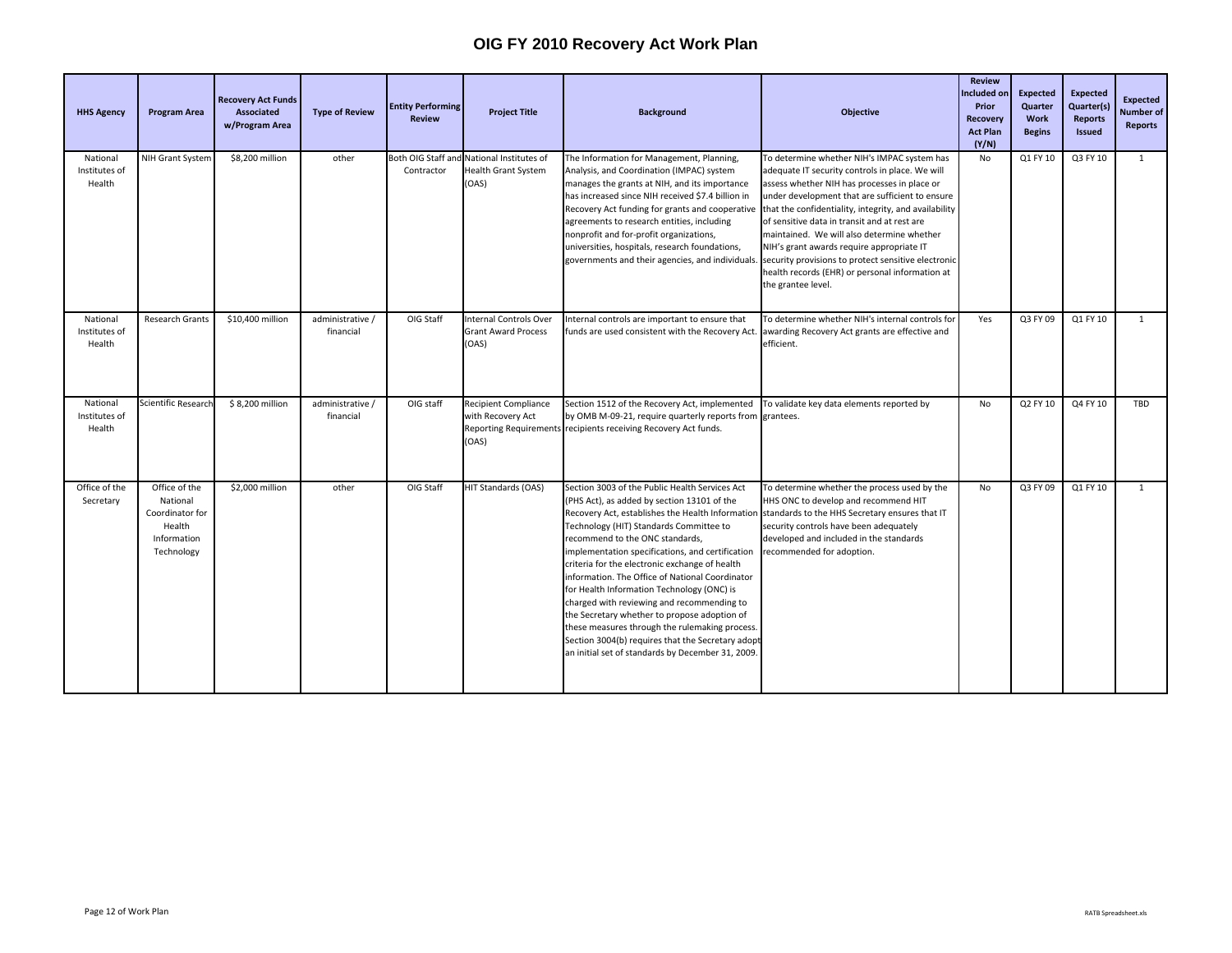| <b>HHS Agency</b>                   | <b>Program Area</b>                                                                 | <b>Recovery Act Funds</b><br>Associated<br>w/Program Area | <b>Type of Review</b>         | <b>Entity Performing</b><br><b>Review</b> | <b>Project Title</b>                                                 | <b>Background</b>                                                                                                                                                                                                                                                                                                                                                                                                                                                                                                                                                                                                                                                                                | <b>Objective</b>                                                                                                                                                                                                                                                                                                                                                                                                                                                                                                                      | <b>Review</b><br>ncluded or<br>Prior<br><b>Recovery</b><br><b>Act Plan</b><br>(Y/N) | <b>Expected</b><br>Quarter<br>Work<br><b>Begins</b> | <b>Expected</b><br>Quarter(s)<br><b>Reports</b><br><b>Issued</b> | <b>Expected</b><br>Number of<br><b>Reports</b> |
|-------------------------------------|-------------------------------------------------------------------------------------|-----------------------------------------------------------|-------------------------------|-------------------------------------------|----------------------------------------------------------------------|--------------------------------------------------------------------------------------------------------------------------------------------------------------------------------------------------------------------------------------------------------------------------------------------------------------------------------------------------------------------------------------------------------------------------------------------------------------------------------------------------------------------------------------------------------------------------------------------------------------------------------------------------------------------------------------------------|---------------------------------------------------------------------------------------------------------------------------------------------------------------------------------------------------------------------------------------------------------------------------------------------------------------------------------------------------------------------------------------------------------------------------------------------------------------------------------------------------------------------------------------|-------------------------------------------------------------------------------------|-----------------------------------------------------|------------------------------------------------------------------|------------------------------------------------|
| National<br>Institutes of<br>Health | NIH Grant System                                                                    | \$8,200 million                                           | other                         | Both OIG Staff and<br>Contractor          | National Institutes of<br>Health Grant System<br>(OAS)               | The Information for Management, Planning,<br>Analysis, and Coordination (IMPAC) system<br>manages the grants at NIH, and its importance<br>has increased since NIH received \$7.4 billion in<br>Recovery Act funding for grants and cooperative<br>agreements to research entities, including<br>nonprofit and for-profit organizations,<br>universities, hospitals, research foundations,<br>governments and their agencies, and individuals.                                                                                                                                                                                                                                                   | To determine whether NIH's IMPAC system has<br>adequate IT security controls in place. We will<br>assess whether NIH has processes in place or<br>under development that are sufficient to ensure<br>that the confidentiality, integrity, and availability<br>of sensitive data in transit and at rest are<br>maintained. We will also determine whether<br>NIH's grant awards require appropriate IT<br>security provisions to protect sensitive electronic<br>health records (EHR) or personal information at<br>the grantee level. | No                                                                                  | Q1 FY 10                                            | Q3 FY 10                                                         | $\mathbf{1}$                                   |
| National<br>Institutes of<br>Health | <b>Research Grants</b>                                                              | \$10,400 million                                          | administrative /<br>financial | OIG Staff                                 | <b>Internal Controls Over</b><br><b>Grant Award Process</b><br>(OAS) | nternal controls are important to ensure that<br>funds are used consistent with the Recovery Act.                                                                                                                                                                                                                                                                                                                                                                                                                                                                                                                                                                                                | To determine whether NIH's internal controls for<br>awarding Recovery Act grants are effective and<br>efficient.                                                                                                                                                                                                                                                                                                                                                                                                                      | Yes                                                                                 | Q3 FY 09                                            | Q1 FY 10                                                         | $\mathbf{1}$                                   |
| National<br>Institutes of<br>Health | Scientific Research                                                                 | \$8,200 million                                           | administrative /<br>financial | OIG staff                                 | Recipient Compliance<br>with Recovery Act<br>(OAS)                   | Section 1512 of the Recovery Act, implemented<br>by OMB M-09-21, require quarterly reports from grantees.<br>Reporting Requirements recipients receiving Recovery Act funds.                                                                                                                                                                                                                                                                                                                                                                                                                                                                                                                     | To validate key data elements reported by                                                                                                                                                                                                                                                                                                                                                                                                                                                                                             | No                                                                                  | Q2 FY 10                                            | Q4 FY 10                                                         | TBD                                            |
| Office of the<br>Secretary          | Office of the<br>National<br>Coordinator for<br>Health<br>Information<br>Technology | \$2,000 million                                           | other                         | OIG Staff                                 | HIT Standards (OAS)                                                  | Section 3003 of the Public Health Services Act<br>(PHS Act), as added by section 13101 of the<br>Recovery Act, establishes the Health Information<br>Technology (HIT) Standards Committee to<br>recommend to the ONC standards,<br>implementation specifications, and certification<br>criteria for the electronic exchange of health<br>information. The Office of National Coordinator<br>for Health Information Technology (ONC) is<br>charged with reviewing and recommending to<br>the Secretary whether to propose adoption of<br>these measures through the rulemaking process.<br>Section 3004(b) requires that the Secretary adopt<br>an initial set of standards by December 31, 2009. | To determine whether the process used by the<br>HHS ONC to develop and recommend HIT<br>standards to the HHS Secretary ensures that IT<br>security controls have been adequately<br>developed and included in the standards<br>recommended for adoption.                                                                                                                                                                                                                                                                              | No                                                                                  | Q3 FY 09                                            | Q1 FY 10                                                         | $\mathbf{1}$                                   |